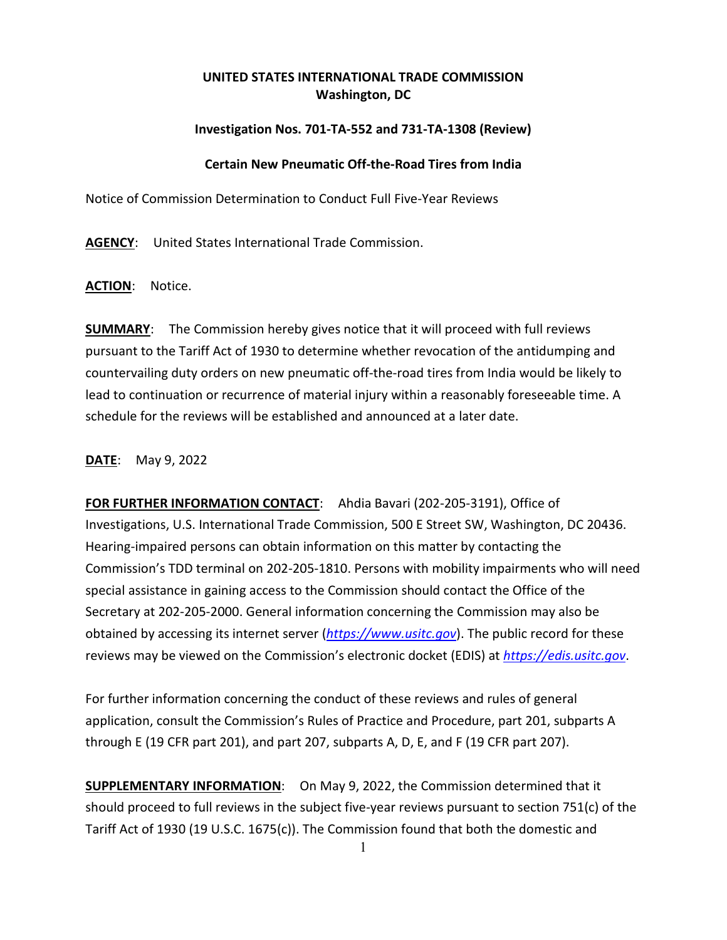## **UNITED STATES INTERNATIONAL TRADE COMMISSION Washington, DC**

## **Investigation Nos. 701-TA-552 and 731-TA-1308 (Review)**

## **Certain New Pneumatic Off-the-Road Tires from India**

Notice of Commission Determination to Conduct Full Five-Year Reviews

**AGENCY**: United States International Trade Commission.

**ACTION**: Notice.

**SUMMARY**: The Commission hereby gives notice that it will proceed with full reviews pursuant to the Tariff Act of 1930 to determine whether revocation of the antidumping and countervailing duty orders on new pneumatic off-the-road tires from India would be likely to lead to continuation or recurrence of material injury within a reasonably foreseeable time. A schedule for the reviews will be established and announced at a later date.

**DATE**: May 9, 2022

**FOR FURTHER INFORMATION CONTACT**: Ahdia Bavari (202-205-3191), Office of Investigations, U.S. International Trade Commission, 500 E Street SW, Washington, DC 20436. Hearing-impaired persons can obtain information on this matter by contacting the Commission's TDD terminal on 202-205-1810. Persons with mobility impairments who will need special assistance in gaining access to the Commission should contact the Office of the Secretary at 202-205-2000. General information concerning the Commission may also be obtained by accessing its internet server (*[https://www.usitc.gov](https://www.usitc.gov/)*). The public record for these reviews may be viewed on the Commission's electronic docket (EDIS) at *[https://edis.usitc.gov](https://edis.usitc.gov/)*.

For further information concerning the conduct of these reviews and rules of general application, consult the Commission's Rules of Practice and Procedure, part 201, subparts A through E (19 CFR part 201), and part 207, subparts A, D, E, and F (19 CFR part 207).

**SUPPLEMENTARY INFORMATION**: On May 9, 2022, the Commission determined that it should proceed to full reviews in the subject five-year reviews pursuant to section 751(c) of the Tariff Act of 1930 (19 U.S.C. 1675(c)). The Commission found that both the domestic and

<sup>1</sup>